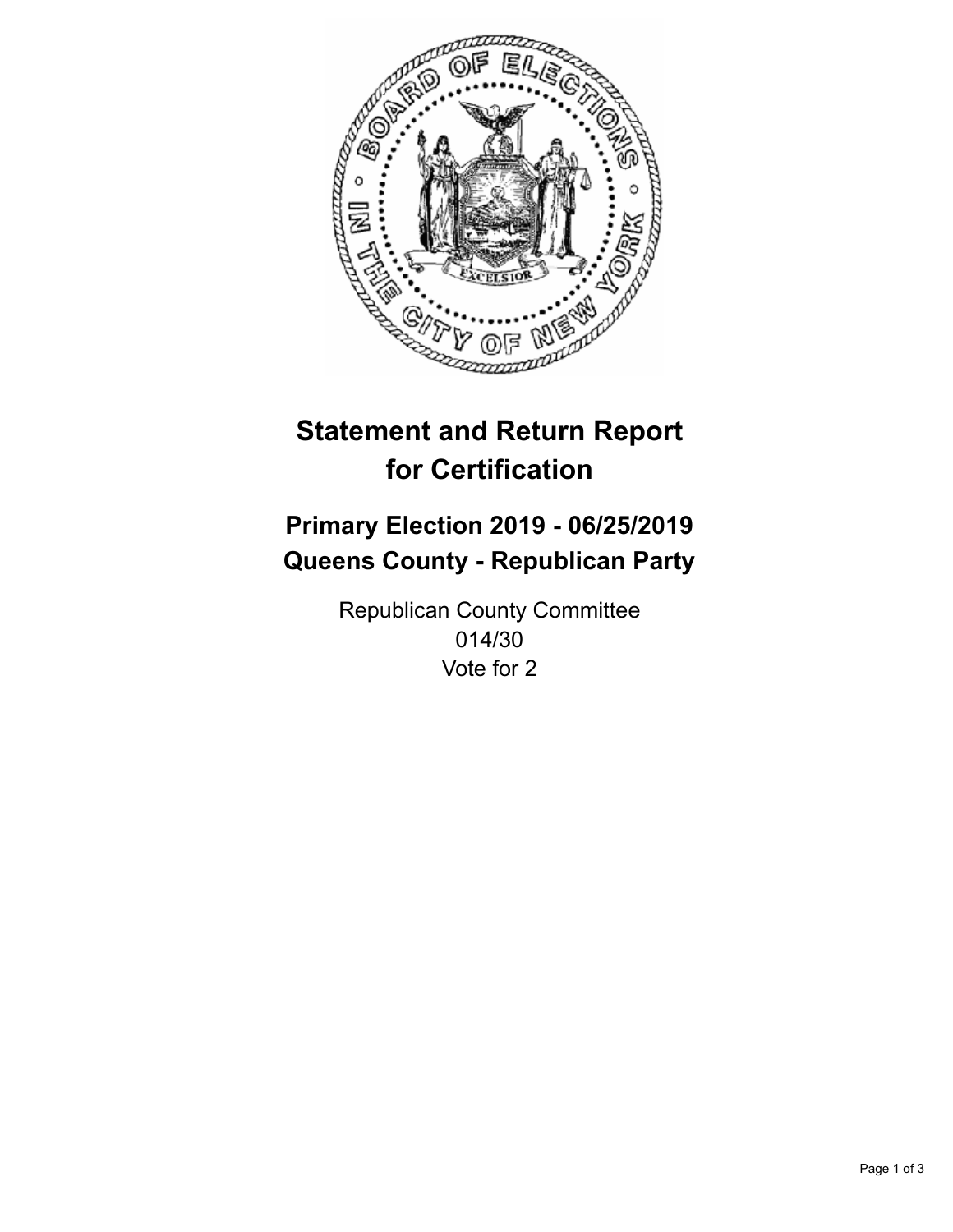

## **Statement and Return Report for Certification**

## **Primary Election 2019 - 06/25/2019 Queens County - Republican Party**

Republican County Committee 014/30 Vote for 2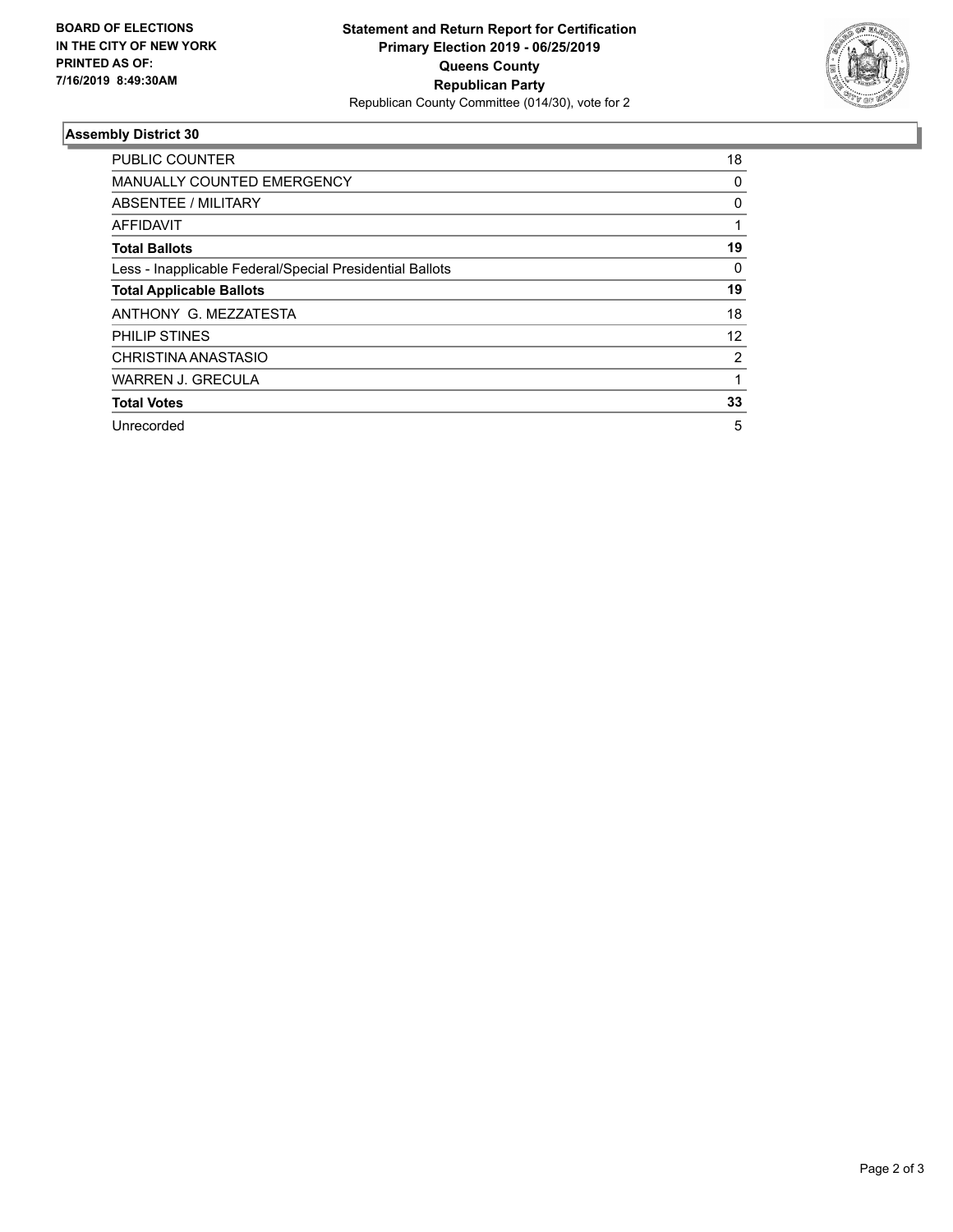

## **Assembly District 30**

| <b>PUBLIC COUNTER</b>                                    | 18 |
|----------------------------------------------------------|----|
| <b>MANUALLY COUNTED EMERGENCY</b>                        | 0  |
| ABSENTEE / MILITARY                                      | 0  |
| AFFIDAVIT                                                |    |
| <b>Total Ballots</b>                                     | 19 |
| Less - Inapplicable Federal/Special Presidential Ballots | 0  |
| <b>Total Applicable Ballots</b>                          | 19 |
| ANTHONY G. MEZZATESTA                                    | 18 |
| <b>PHILIP STINES</b>                                     | 12 |
| CHRISTINA ANASTASIO                                      | 2  |
| <b>WARREN J. GRECULA</b>                                 |    |
| <b>Total Votes</b>                                       | 33 |
| Unrecorded                                               | 5  |